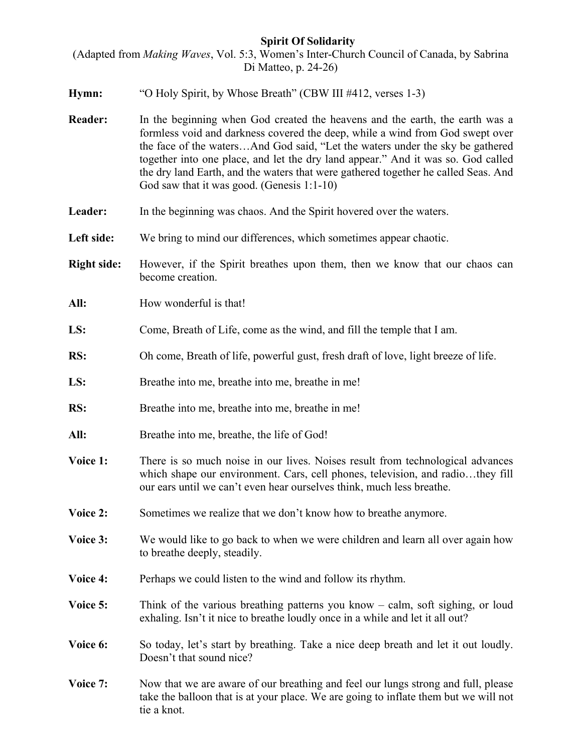## **Spirit Of Solidarity**

(Adapted from *Making Waves*, Vol. 5:3, Women's Inter-Church Council of Canada, by Sabrina Di Matteo, p. 24-26)

- **Hymn:** "O Holy Spirit, by Whose Breath" (CBW III #412, verses 1-3)
- **Reader:** In the beginning when God created the heavens and the earth, the earth was a formless void and darkness covered the deep, while a wind from God swept over the face of the waters…And God said, "Let the waters under the sky be gathered together into one place, and let the dry land appear." And it was so. God called the dry land Earth, and the waters that were gathered together he called Seas. And God saw that it was good. (Genesis 1:1-10)
- Leader: In the beginning was chaos. And the Spirit hovered over the waters.
- Left side: We bring to mind our differences, which sometimes appear chaotic.
- **Right side:** However, if the Spirit breathes upon them, then we know that our chaos can become creation.
- All: How wonderful is that!
- **LS:** Come, Breath of Life, come as the wind, and fill the temple that I am.
- **RS:** Oh come, Breath of life, powerful gust, fresh draft of love, light breeze of life.
- LS: Breathe into me, breathe into me, breathe in me!
- **RS:** Breathe into me, breathe into me, breathe in me!
- **All:** Breathe into me, breathe, the life of God!
- **Voice 1:** There is so much noise in our lives. Noises result from technological advances which shape our environment. Cars, cell phones, television, and radio…they fill our ears until we can't even hear ourselves think, much less breathe.
- **Voice 2:** Sometimes we realize that we don't know how to breathe anymore.
- **Voice 3:** We would like to go back to when we were children and learn all over again how to breathe deeply, steadily.
- **Voice 4:** Perhaps we could listen to the wind and follow its rhythm.
- **Voice 5:** Think of the various breathing patterns you know calm, soft sighing, or loud exhaling. Isn't it nice to breathe loudly once in a while and let it all out?
- **Voice 6:** So today, let's start by breathing. Take a nice deep breath and let it out loudly. Doesn't that sound nice?
- **Voice 7:** Now that we are aware of our breathing and feel our lungs strong and full, please take the balloon that is at your place. We are going to inflate them but we will not tie a knot.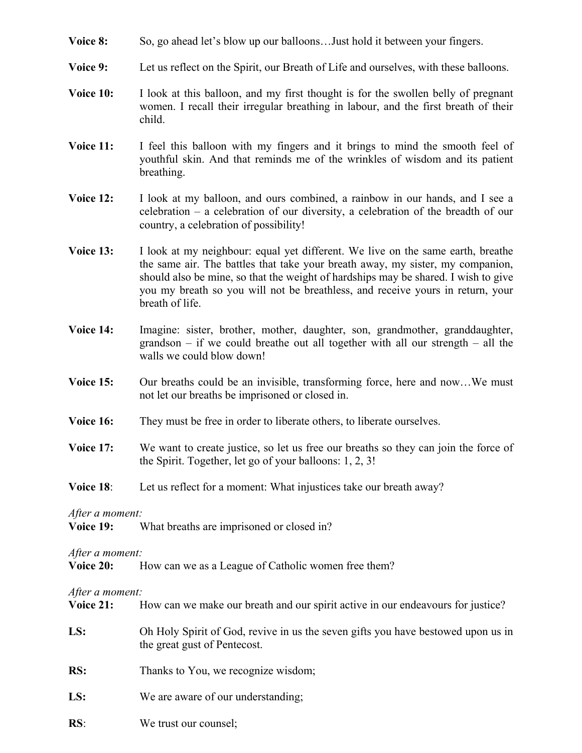- **Voice 8:** So, go ahead let's blow up our balloons... Just hold it between your fingers.
- **Voice 9:** Let us reflect on the Spirit, our Breath of Life and ourselves, with these balloons.
- **Voice 10:** I look at this balloon, and my first thought is for the swollen belly of pregnant women. I recall their irregular breathing in labour, and the first breath of their child.
- **Voice 11:** I feel this balloon with my fingers and it brings to mind the smooth feel of youthful skin. And that reminds me of the wrinkles of wisdom and its patient breathing.
- **Voice 12:** I look at my balloon, and ours combined, a rainbow in our hands, and I see a celebration – a celebration of our diversity, a celebration of the breadth of our country, a celebration of possibility!
- **Voice 13:** I look at my neighbour: equal yet different. We live on the same earth, breathe the same air. The battles that take your breath away, my sister, my companion, should also be mine, so that the weight of hardships may be shared. I wish to give you my breath so you will not be breathless, and receive yours in return, your breath of life.
- **Voice 14:** Imagine: sister, brother, mother, daughter, son, grandmother, granddaughter, grandson – if we could breathe out all together with all our strength – all the walls we could blow down!
- **Voice 15:** Our breaths could be an invisible, transforming force, here and now...We must not let our breaths be imprisoned or closed in.
- **Voice 16:** They must be free in order to liberate others, to liberate ourselves.
- **Voice 17:** We want to create justice, so let us free our breaths so they can join the force of the Spirit. Together, let go of your balloons: 1, 2, 3!
- **Voice 18:** Let us reflect for a moment: What injustices take our breath away?

*After a moment:* 

**Voice 19:** What breaths are imprisoned or closed in?

*After a moment:* 

| Voice 20:<br>How can we as a League of Catholic women free them? |  |
|------------------------------------------------------------------|--|
|------------------------------------------------------------------|--|

*After a moment:* 

**RS**: We trust our counsel;

| <b>Voice 21:</b> | How can we make our breath and our spirit active in our endeavours for justice?                                  |
|------------------|------------------------------------------------------------------------------------------------------------------|
| LS:              | Oh Holy Spirit of God, revive in us the seven gifts you have bestowed upon us in<br>the great gust of Pentecost. |
| RS:              | Thanks to You, we recognize wisdom;                                                                              |
| LS:              | We are aware of our understanding;                                                                               |
|                  |                                                                                                                  |